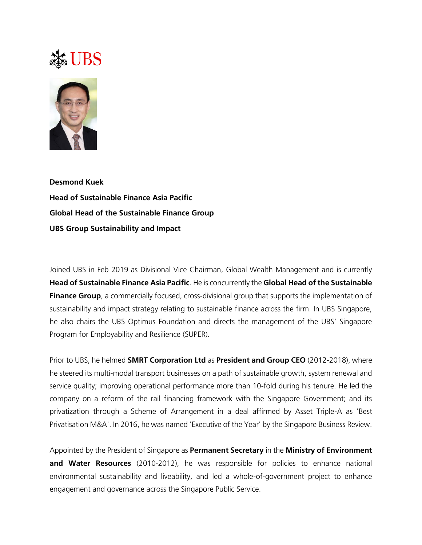## Ste UBS



**Desmond Kuek Head of Sustainable Finance Asia Pacific Global Head of the Sustainable Finance Group UBS Group Sustainability and Impact**

Joined UBS in Feb 2019 as Divisional Vice Chairman, Global Wealth Management and is currently **Head of Sustainable Finance Asia Pacific**. He is concurrently the **Global Head of the Sustainable Finance Group**, a commercially focused, cross-divisional group that supports the implementation of sustainability and impact strategy relating to sustainable finance across the firm. In UBS Singapore, he also chairs the UBS Optimus Foundation and directs the management of the UBS' Singapore Program for Employability and Resilience (SUPER).

Prior to UBS, he helmed **SMRT Corporation Ltd** as **President and Group CEO** (2012-2018), where he steered its multi-modal transport businesses on a path of sustainable growth, system renewal and service quality; improving operational performance more than 10-fold during his tenure. He led the company on a reform of the rail financing framework with the Singapore Government; and its privatization through a Scheme of Arrangement in a deal affirmed by Asset Triple-A as 'Best Privatisation M&A'. In 2016, he was named 'Executive of the Year' by the Singapore Business Review.

Appointed by the President of Singapore as **Permanent Secretary** in the **Ministry of Environment and Water Resources** (2010-2012), he was responsible for policies to enhance national environmental sustainability and liveability, and led a whole-of-government project to enhance engagement and governance across the Singapore Public Service.